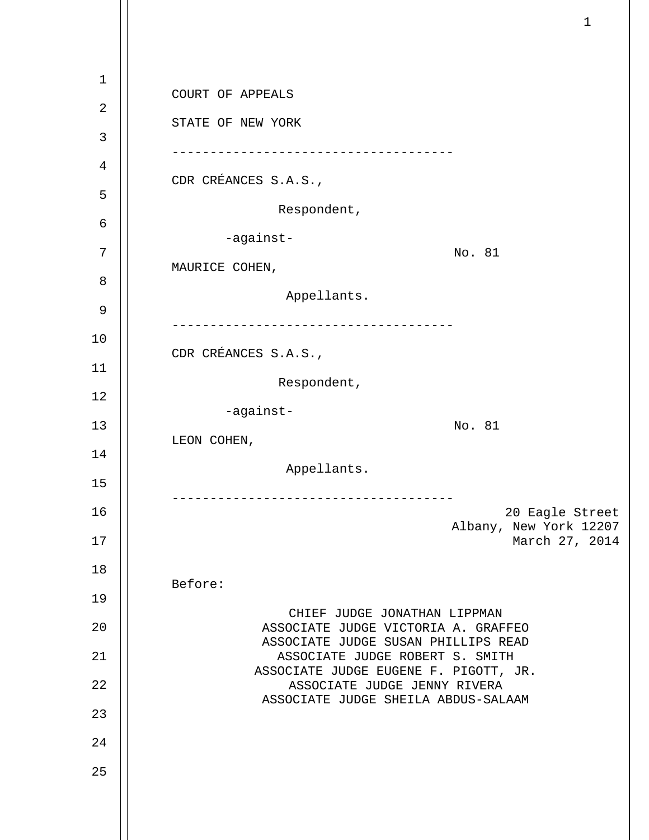| 1        | COURT OF APPEALS                                                       |
|----------|------------------------------------------------------------------------|
| 2        |                                                                        |
| 3        | STATE OF NEW YORK                                                      |
| 4        |                                                                        |
| 5        | CDR CRÉANCES S.A.S.,                                                   |
| 6        | Respondent,                                                            |
| 7        | -against-<br>No. 81                                                    |
| 8        | MAURICE COHEN,                                                         |
| 9        | Appellants.                                                            |
| 10       |                                                                        |
| 11       | CDR CRÉANCES S.A.S.,                                                   |
| 12       | Respondent,                                                            |
| 13       | -against-<br>No. 81                                                    |
|          | LEON COHEN,                                                            |
| 14       | Appellants.                                                            |
| 15       |                                                                        |
| 16<br>17 | 20 Eagle Street<br>Albany, New York 12207<br>March 27, 2014            |
| 18       |                                                                        |
| 19       | Before:                                                                |
| 20       | CHIEF JUDGE JONATHAN LIPPMAN<br>ASSOCIATE JUDGE VICTORIA A. GRAFFEO    |
| 21       | ASSOCIATE JUDGE SUSAN PHILLIPS READ<br>ASSOCIATE JUDGE ROBERT S. SMITH |
|          | ASSOCIATE JUDGE EUGENE F. PIGOTT, JR.                                  |
| 22       | ASSOCIATE JUDGE JENNY RIVERA<br>ASSOCIATE JUDGE SHEILA ABDUS-SALAAM    |
| 23       |                                                                        |
| 24       |                                                                        |
| 25       |                                                                        |
|          |                                                                        |

 $\mathbf{1}$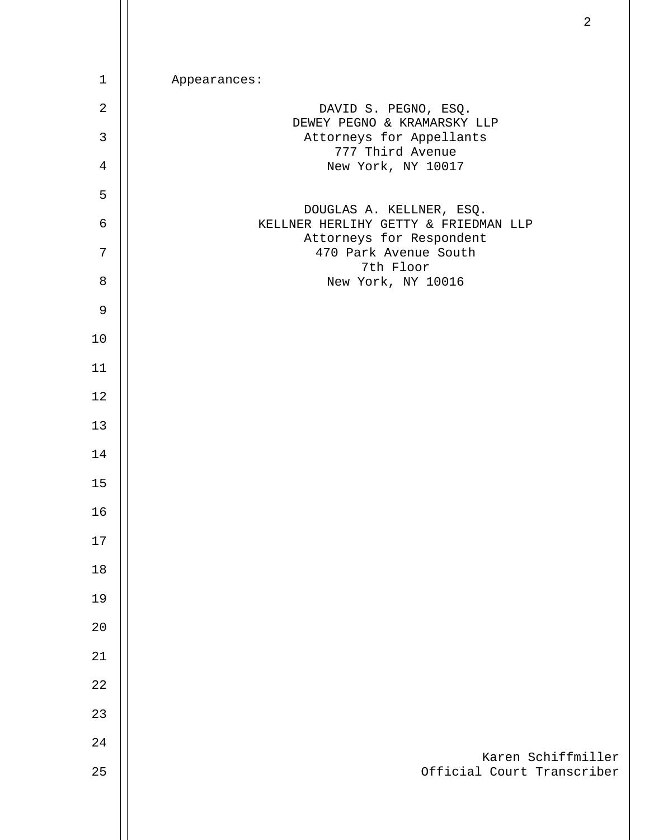| $\mathbf{1}$   | Appearances:                                                     |
|----------------|------------------------------------------------------------------|
| $\sqrt{2}$     | DAVID S. PEGNO, ESQ.                                             |
| $\mathfrak{Z}$ | DEWEY PEGNO & KRAMARSKY LLP<br>Attorneys for Appellants          |
| $\,4$          | 777 Third Avenue<br>New York, NY 10017                           |
| 5              |                                                                  |
| $\epsilon$     | DOUGLAS A. KELLNER, ESQ.<br>KELLNER HERLIHY GETTY & FRIEDMAN LLP |
| $\overline{7}$ | Attorneys for Respondent<br>470 Park Avenue South                |
| $\,8\,$        | 7th Floor<br>New York, NY 10016                                  |
| $\mathsf 9$    |                                                                  |
| $10$           |                                                                  |
| 11             |                                                                  |
| 12             |                                                                  |
| 13             |                                                                  |
| 14             |                                                                  |
| 15             |                                                                  |
| $16\,$         |                                                                  |
| 17             |                                                                  |
| 18             |                                                                  |
| 19             |                                                                  |
| 20             |                                                                  |
| 21             |                                                                  |
| 22             |                                                                  |
| 23             |                                                                  |
| 24             |                                                                  |
| 25             | Karen Schiffmiller<br>Official Court Transcriber                 |
|                |                                                                  |
|                |                                                                  |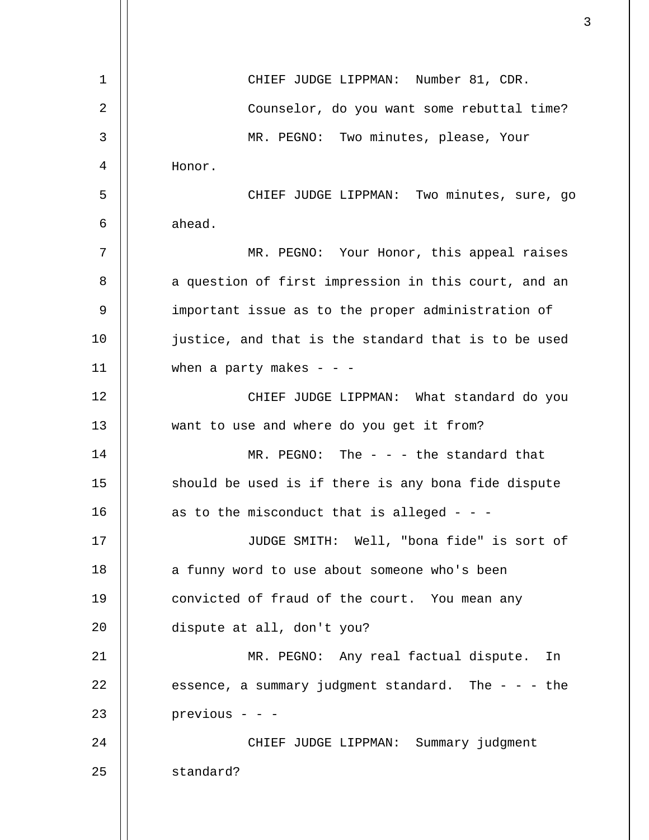| $\mathbf 1$    | CHIEF JUDGE LIPPMAN: Number 81, CDR.                    |
|----------------|---------------------------------------------------------|
| $\overline{2}$ | Counselor, do you want some rebuttal time?              |
| 3              | MR. PEGNO: Two minutes, please, Your                    |
| 4              | Honor.                                                  |
| 5              | CHIEF JUDGE LIPPMAN: Two minutes, sure, go              |
| 6              | ahead.                                                  |
| 7              | MR. PEGNO: Your Honor, this appeal raises               |
| 8              | a question of first impression in this court, and an    |
| 9              | important issue as to the proper administration of      |
| 10             | justice, and that is the standard that is to be used    |
| 11             | when a party makes - - -                                |
| 12             | CHIEF JUDGE LIPPMAN: What standard do you               |
| 13             | want to use and where do you get it from?               |
| 14             | MR. PEGNO: The - - - the standard that                  |
| 15             | should be used is if there is any bona fide dispute     |
| 16             | as to the misconduct that is alleged - - -              |
| 17             | JUDGE SMITH: Well, "bona fide" is sort of               |
| 18             | a funny word to use about someone who's been            |
| 19             | convicted of fraud of the court. You mean any           |
| 20             | dispute at all, don't you?                              |
| 21             | MR. PEGNO: Any real factual dispute. In                 |
| 22             | essence, a summary judgment standard. The $-$ - $-$ the |
| 23             | previous - - -                                          |
| 24             | CHIEF JUDGE LIPPMAN: Summary judgment                   |
| 25             | standard?                                               |
|                |                                                         |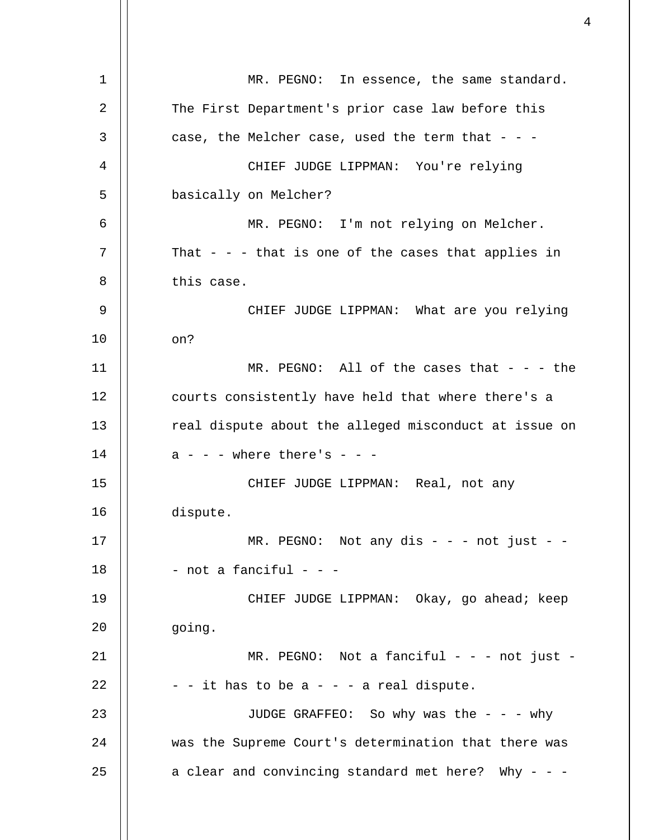1 2 3 4 5 6 7 8 9 10 11 12 13 14 15 16 17 18 19 20 21 22 23 24 25 MR. PEGNO: In essence, the same standard. The First Department's prior case law before this case, the Melcher case, used the term that  $-$  -CHIEF JUDGE LIPPMAN: You're relying basically on Melcher? MR. PEGNO: I'm not relying on Melcher. That  $-$  -  $-$  that is one of the cases that applies in this case. CHIEF JUDGE LIPPMAN: What are you relying on? MR. PEGNO: All of the cases that  $-$  - - the courts consistently have held that where there's a real dispute about the alleged misconduct at issue on  $a - -$  - where there's - - -CHIEF JUDGE LIPPMAN: Real, not any dispute.  $MR.$  PEGNO: Not any dis - - - not just - -- not a fanciful - - -CHIEF JUDGE LIPPMAN: Okay, go ahead; keep going.  $MR.$  PEGNO: Not a fanciful - - - not just - $-$  - it has to be a  $-$  -  $-$  a real dispute. JUDGE GRAFFEO: So why was the - - - why was the Supreme Court's determination that there was a clear and convincing standard met here? Why - - -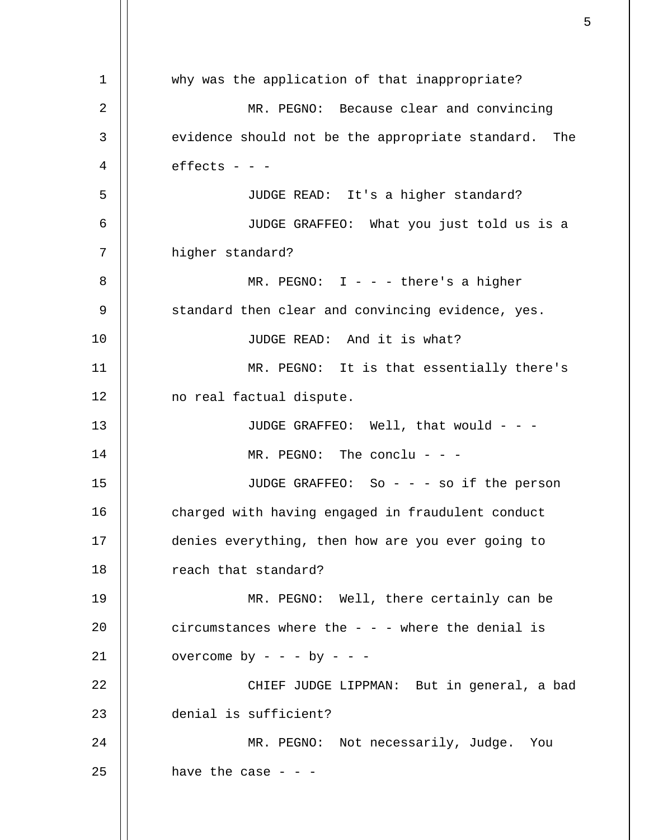1 2 3 4 5 6 7 8 9 10 11 12 13 14 15 16 17 18 19 20 21 22 23 24 25 why was the application of that inappropriate? MR. PEGNO: Because clear and convincing evidence should not be the appropriate standard. The  $effects - -$ JUDGE READ: It's a higher standard? JUDGE GRAFFEO: What you just told us is a higher standard? MR. PEGNO:  $I - -$  - there's a higher standard then clear and convincing evidence, yes. JUDGE READ: And it is what? MR. PEGNO: It is that essentially there's no real factual dispute. JUDGE GRAFFEO: Well, that would - - - MR. PEGNO: The conclu - - -JUDGE GRAFFEO: So - - - so if the person charged with having engaged in fraudulent conduct denies everything, then how are you ever going to reach that standard? MR. PEGNO: Well, there certainly can be circumstances where the  $-$  -  $-$  where the denial is overcome by - - - by - - -CHIEF JUDGE LIPPMAN: But in general, a bad denial is sufficient? MR. PEGNO: Not necessarily, Judge. You have the case  $- -$ 

 $\sim$  5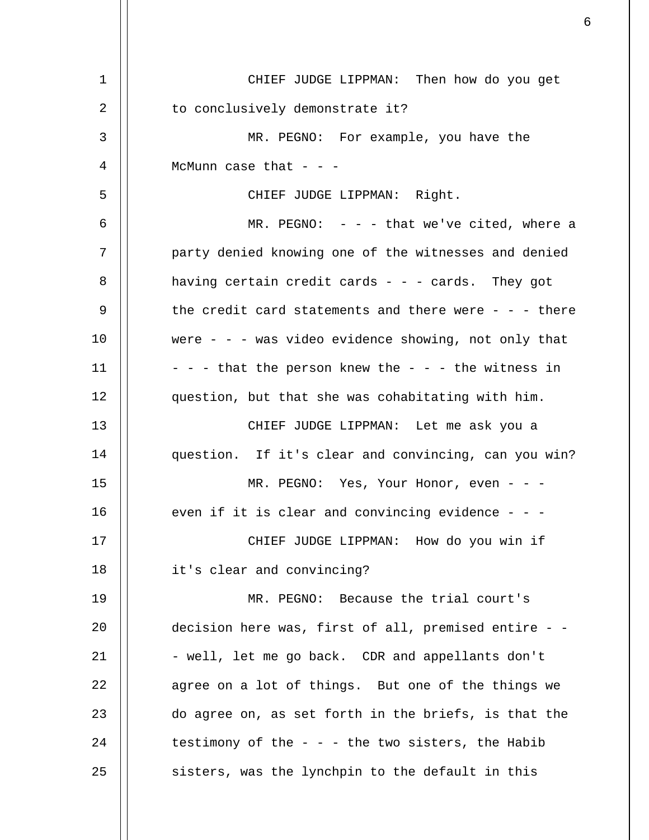| 1  | CHIEF JUDGE LIPPMAN: Then how do you get              |
|----|-------------------------------------------------------|
| 2  | to conclusively demonstrate it?                       |
| 3  | MR. PEGNO: For example, you have the                  |
| 4  | McMunn case that $ -$                                 |
| 5  | CHIEF JUDGE LIPPMAN: Right.                           |
| 6  | MR. PEGNO: $- - -$ that we've cited, where a          |
| 7  | party denied knowing one of the witnesses and denied  |
| 8  | having certain credit cards - - - cards. They got     |
| 9  | the credit card statements and there were - - - there |
| 10 | were - - - was video evidence showing, not only that  |
| 11 | - - - that the person knew the - - - the witness in   |
| 12 | question, but that she was cohabitating with him.     |
| 13 | CHIEF JUDGE LIPPMAN: Let me ask you a                 |
| 14 | question. If it's clear and convincing, can you win?  |
| 15 | MR. PEGNO: Yes, Your Honor, even - - -                |
| 16 | even if it is clear and convincing evidence - - -     |
| 17 | CHIEF JUDGE LIPPMAN: How do you win if                |
| 18 | it's clear and convincing?                            |
| 19 | MR. PEGNO: Because the trial court's                  |
| 20 | decision here was, first of all, premised entire - -  |
| 21 | - well, let me go back. CDR and appellants don't      |
| 22 | agree on a lot of things. But one of the things we    |
| 23 | do agree on, as set forth in the briefs, is that the  |
| 24 | testimony of the $-$ - $-$ the two sisters, the Habib |
| 25 | sisters, was the lynchpin to the default in this      |

 $\sim$  6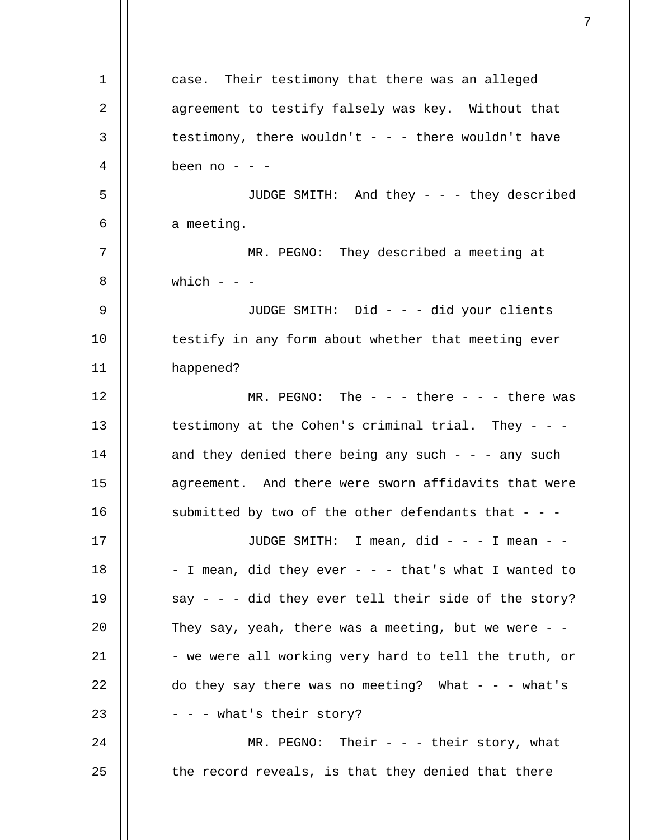1 2 3 4 5 6 7 8 9 10 11 12 13 14 15 16 17 18 19 20 21 22 23 24 25 case. Their testimony that there was an alleged agreement to testify falsely was key. Without that testimony, there wouldn't  $-$  -  $-$  there wouldn't have been no - - -JUDGE SMITH: And they - - - they described a meeting. MR. PEGNO: They described a meeting at which  $-$ JUDGE SMITH: Did - - - did your clients testify in any form about whether that meeting ever happened? MR. PEGNO: The  $-$  there  $-$  there was testimony at the Cohen's criminal trial. They - - and they denied there being any such - - - any such agreement. And there were sworn affidavits that were submitted by two of the other defendants that  $-$  -JUDGE SMITH: I mean, did - - - I mean - - - I mean, did they ever - - - that's what I wanted to say - - - did they ever tell their side of the story? They say, yeah, there was a meeting, but we were  $-$  -- we were all working very hard to tell the truth, or do they say there was no meeting? What  $- -$  - what's - - - what's their story? MR. PEGNO: Their  $-$  their story, what the record reveals, is that they denied that there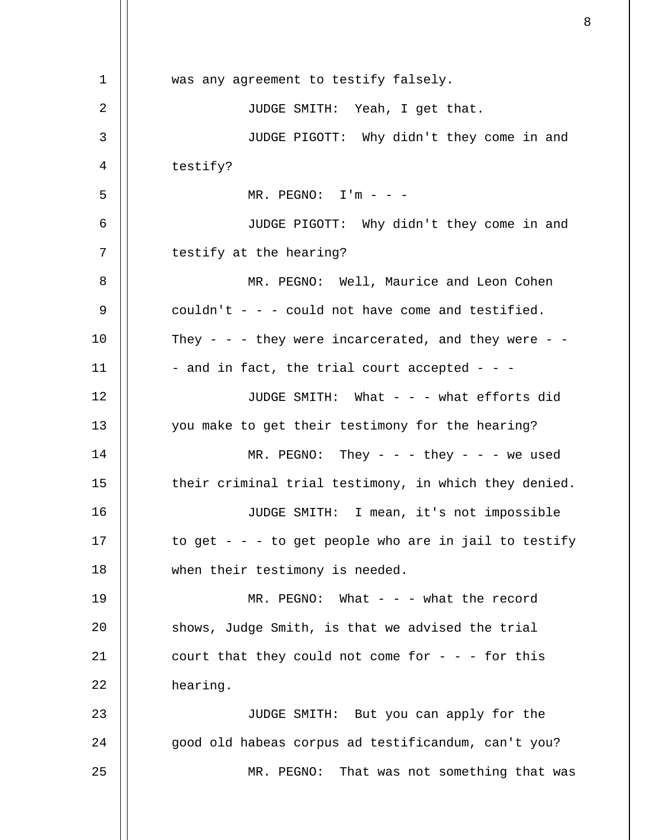1 2 3 4 5 6 7 8 9 10 11 12 13 14 15 16 17 18 19 20 21 22 23 24 25 was any agreement to testify falsely. JUDGE SMITH: Yeah, I get that. JUDGE PIGOTT: Why didn't they come in and testify?  $MR.$  PEGNO:  $I'm - -$ JUDGE PIGOTT: Why didn't they come in and testify at the hearing? MR. PEGNO: Well, Maurice and Leon Cohen couldn't  $-$  -  $-$  could not have come and testified. They - - - they were incarcerated, and they were - -- and in fact, the trial court accepted - - -JUDGE SMITH: What - - - what efforts did you make to get their testimony for the hearing?  $MR.$  PEGNO: They - - - they - - - we used their criminal trial testimony, in which they denied. JUDGE SMITH: I mean, it's not impossible to get  $- - -$  to get people who are in jail to testify when their testimony is needed. MR. PEGNO: What  $-$  what the record shows, Judge Smith, is that we advised the trial court that they could not come for  $-$  - - for this hearing. JUDGE SMITH: But you can apply for the good old habeas corpus ad testificandum, can't you? MR. PEGNO: That was not something that was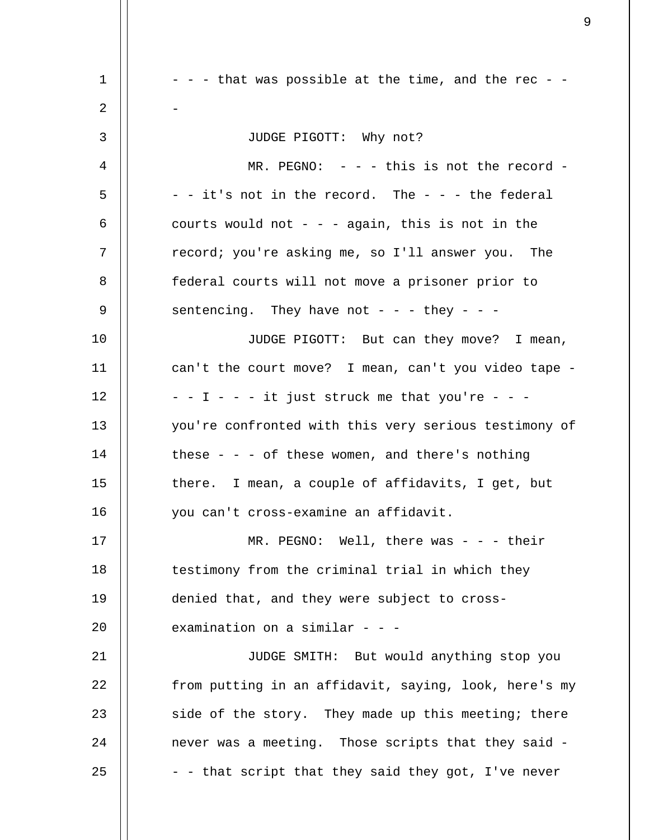1 2 3 4 5 6 7 8 9 10 11 12 13 14 15 16 17 18 19 20 21 22 23 24 25  $-$  -  $-$  that was possible at the time, and the rec  $-$ - JUDGE PIGOTT: Why not? MR. PEGNO: - - - this is not the record - $-$  - it's not in the record. The  $-$  -  $-$  the federal courts would not  $-$  again, this is not in the record; you're asking me, so I'll answer you. The federal courts will not move a prisoner prior to sentencing. They have not - - - they - - -JUDGE PIGOTT: But can they move? I mean, can't the court move? I mean, can't you video tape -  $-$  -  $I$  - - - it just struck me that you're - - you're confronted with this very serious testimony of these - - - of these women, and there's nothing there. I mean, a couple of affidavits, I get, but you can't cross-examine an affidavit. MR. PEGNO: Well, there was  $-$  -  $-$  their testimony from the criminal trial in which they denied that, and they were subject to crossexamination on a similar - - -JUDGE SMITH: But would anything stop you from putting in an affidavit, saying, look, here's my side of the story. They made up this meeting; there never was a meeting. Those scripts that they said - - - that script that they said they got, I've never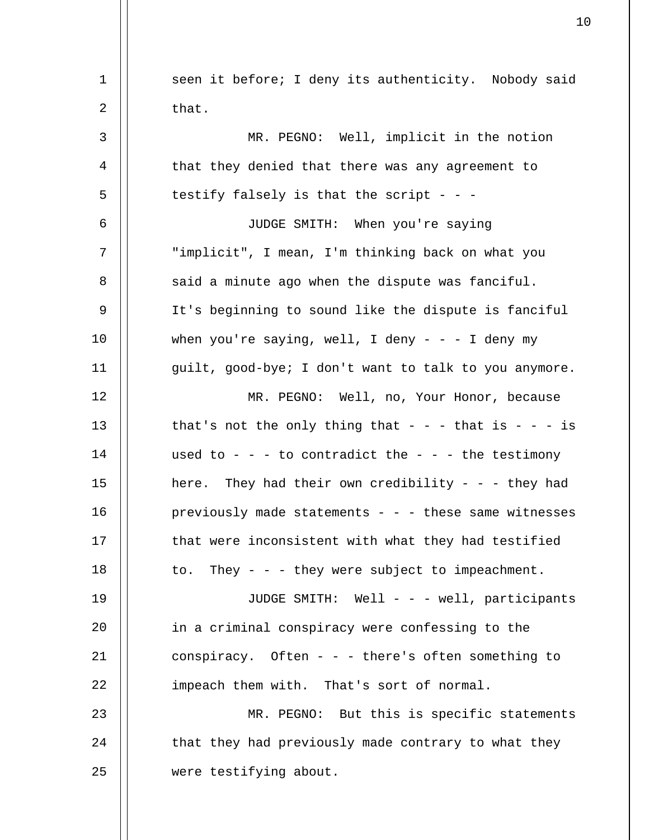| $\mathbf 1$ | seen it before; I deny its authenticity. Nobody said  |
|-------------|-------------------------------------------------------|
| 2           | that.                                                 |
| 3           | MR. PEGNO: Well, implicit in the notion               |
| 4           | that they denied that there was any agreement to      |
| 5           | testify falsely is that the script - - -              |
| 6           | JUDGE SMITH: When you're saying                       |
| 7           | "implicit", I mean, I'm thinking back on what you     |
| 8           | said a minute ago when the dispute was fanciful.      |
| 9           | It's beginning to sound like the dispute is fanciful  |
| 10          | when you're saying, well, I deny - - - I deny my      |
| 11          | guilt, good-bye; I don't want to talk to you anymore. |
| 12          | MR. PEGNO: Well, no, Your Honor, because              |
| 13          | that's not the only thing that - - - that is - - - is |
| 14          | used to - - - to contradict the - - - the testimony   |
| 15          | here. They had their own credibility - - - they had   |
| 16          | previously made statements - - - these same witnesses |
| 17          | that were inconsistent with what they had testified   |
| 18          | They - - - they were subject to impeachment.<br>to.   |
| 19          | JUDGE SMITH: Well - - - well, participants            |
| 20          | in a criminal conspiracy were confessing to the       |
| 21          | conspiracy. Often - - - there's often something to    |
| 22          | impeach them with. That's sort of normal.             |
| 23          | MR. PEGNO: But this is specific statements            |
| 24          | that they had previously made contrary to what they   |
| 25          | were testifying about.                                |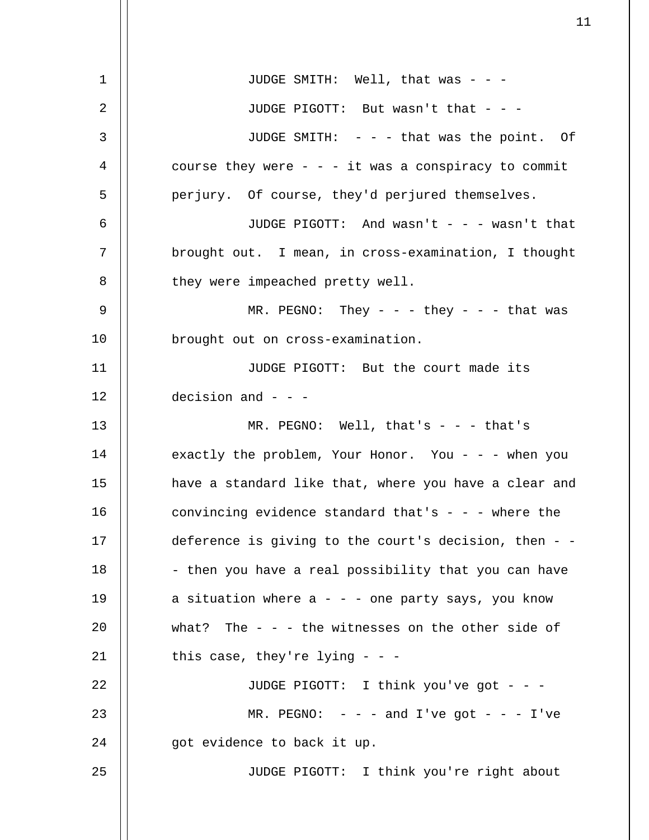| $\mathbf 1$ | JUDGE SMITH: Well, that was - - -                     |
|-------------|-------------------------------------------------------|
| 2           | JUDGE PIGOTT: But wasn't that - - -                   |
| 3           | JUDGE SMITH: - - - that was the point. Of             |
| 4           | course they were $- - i$ t was a conspiracy to commit |
| 5           | perjury. Of course, they'd perjured themselves.       |
| 6           | JUDGE PIGOTT: And wasn't - - - wasn't that            |
| 7           | brought out. I mean, in cross-examination, I thought  |
| 8           | they were impeached pretty well.                      |
| 9           | MR. PEGNO: They - - - they - - - that was             |
| 10          | brought out on cross-examination.                     |
| 11          | JUDGE PIGOTT: But the court made its                  |
| 12          | decision and $-$ - $-$                                |
| 13          | MR. PEGNO: Well, that's - - - that's                  |
| 14          | exactly the problem, Your Honor. You - - - when you   |
| 15          | have a standard like that, where you have a clear and |
| 16          | convincing evidence standard that's - - - where the   |
| 17          | deference is giving to the court's decision, then - - |
| 18          | - then you have a real possibility that you can have  |
| 19          | a situation where $a - -$ one party says, you know    |
| 20          | what? The $-$ - the witnesses on the other side of    |
| 21          | this case, they're lying $-$ -                        |
| 22          | JUDGE PIGOTT: I think you've got - - -                |
| 23          | MR. PEGNO: $-  -$ and I've got $- -$ I've             |
| 24          | got evidence to back it up.                           |
| 25          | JUDGE PIGOTT: I think you're right about              |
|             |                                                       |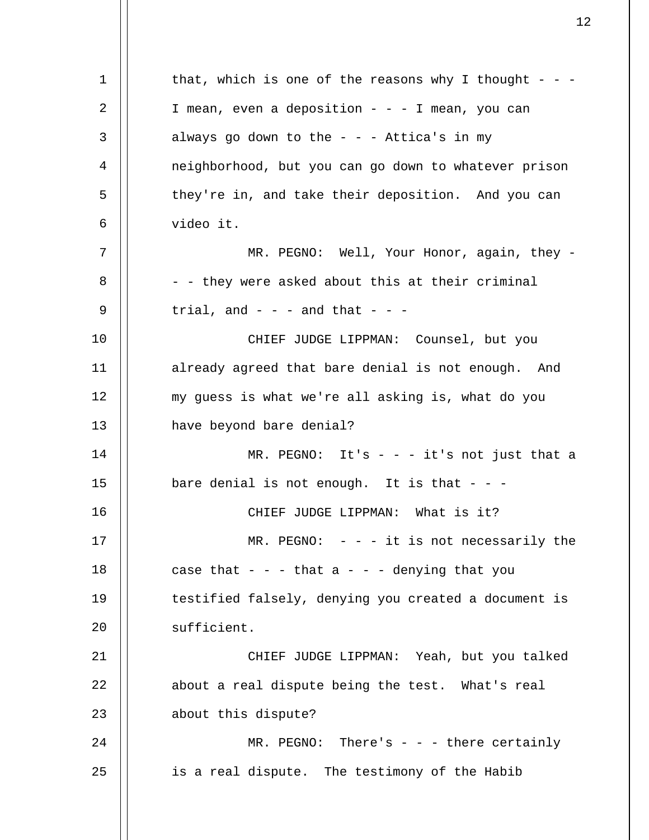1 2 3 4 5 6 7 8 9 10 11 12 13 14 15 16 17 18 19 20 21 22 23 24 25 that, which is one of the reasons why I thought - - -I mean, even a deposition  $- - -$  I mean, you can always go down to the  $-$  -  $-$  Attica's in my neighborhood, but you can go down to whatever prison they're in, and take their deposition. And you can video it. MR. PEGNO: Well, Your Honor, again, they -- - they were asked about this at their criminal trial, and  $- -$  and that  $-$ CHIEF JUDGE LIPPMAN: Counsel, but you already agreed that bare denial is not enough. And my guess is what we're all asking is, what do you have beyond bare denial? MR. PEGNO: It's  $- - i$ t's not just that a bare denial is not enough. It is that  $- -$ CHIEF JUDGE LIPPMAN: What is it?  $MR.$  PEGNO:  $- - i$ t is not necessarily the case that  $-$  -  $-$  that a  $-$  -  $-$  denying that you testified falsely, denying you created a document is sufficient. CHIEF JUDGE LIPPMAN: Yeah, but you talked about a real dispute being the test. What's real about this dispute?  $MR. PEGNO: There's - - there certainly$ is a real dispute. The testimony of the Habib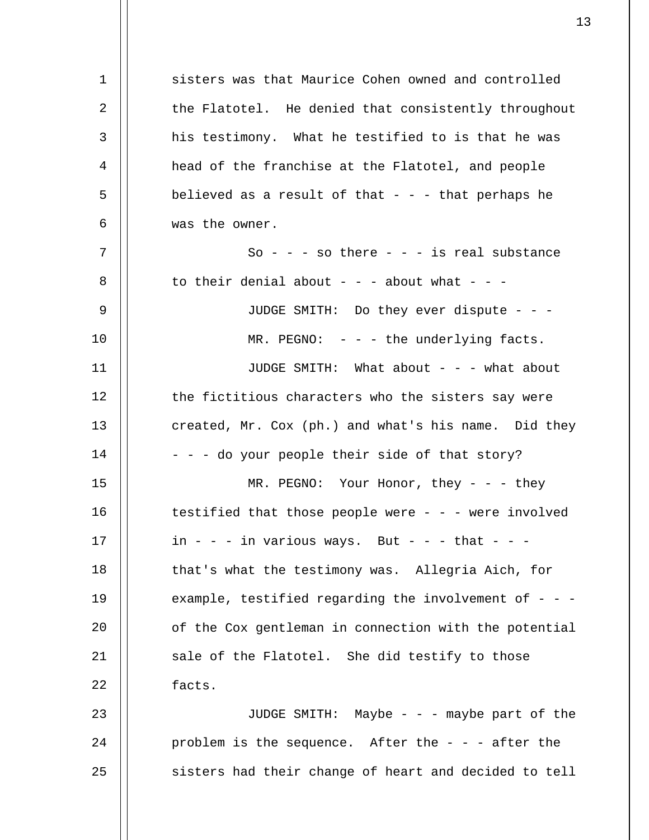1 2 3 4 5 6 7 8 9 10 11 12 13 14 15 16 17 18 19 20 21 22 23 24 25 sisters was that Maurice Cohen owned and controlled the Flatotel. He denied that consistently throughout his testimony. What he testified to is that he was head of the franchise at the Flatotel, and people believed as a result of that  $-$  -  $-$  that perhaps he was the owner. So - - - so there - - - is real substance to their denial about  $- -$  - about what  $-$  -JUDGE SMITH: Do they ever dispute - - -  $MR.$  PEGNO:  $-$  -  $-$  the underlying facts. JUDGE SMITH: What about - - - what about the fictitious characters who the sisters say were created, Mr. Cox (ph.) and what's his name. Did they - - - do your people their side of that story? MR. PEGNO: Your Honor, they - - - they testified that those people were  $- - -$  were involved in - - - in various ways. But - - - that - - that's what the testimony was. Allegria Aich, for example, testified regarding the involvement of  $-$  -  $$ of the Cox gentleman in connection with the potential sale of the Flatotel. She did testify to those facts. JUDGE SMITH: Maybe - - - maybe part of the problem is the sequence. After the  $-$  -  $-$  after the sisters had their change of heart and decided to tell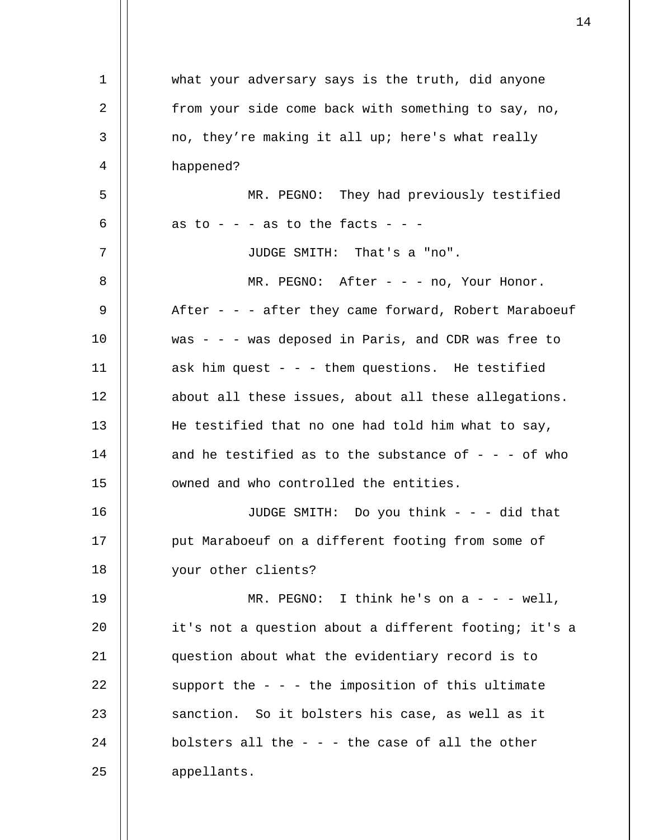| $\mathbf 1$ | what your adversary says is the truth, did anyone        |
|-------------|----------------------------------------------------------|
| 2           | from your side come back with something to say, no,      |
| 3           | no, they're making it all up; here's what really         |
| 4           | happened?                                                |
| 5           | MR. PEGNO: They had previously testified                 |
| 6           | as to - - - as to the facts - - -                        |
| 7           | JUDGE SMITH: That's a "no".                              |
| 8           | MR. PEGNO: After - - - no, Your Honor.                   |
| 9           | After - - - after they came forward, Robert Maraboeuf    |
| 10          | was $- -$ - was deposed in Paris, and CDR was free to    |
| 11          | ask him quest - - - them questions. He testified         |
| 12          | about all these issues, about all these allegations.     |
| 13          | He testified that no one had told him what to say,       |
| 14          | and he testified as to the substance of $-$ - $-$ of who |
| 15          | owned and who controlled the entities.                   |
| 16          | JUDGE SMITH: Do you think - - - did that                 |
| 17          | put Maraboeuf on a different footing from some of        |
| 18          | your other clients?                                      |
| 19          | MR. PEGNO: I think he's on $a - -$ well,                 |
| 20          | it's not a question about a different footing; it's a    |
| 21          | question about what the evidentiary record is to         |
| 22          | support the $-$ - $-$ the imposition of this ultimate    |
| 23          | sanction. So it bolsters his case, as well as it         |
| 24          | bolsters all the $-$ - $-$ the case of all the other     |
| 25          | appellants.                                              |
|             |                                                          |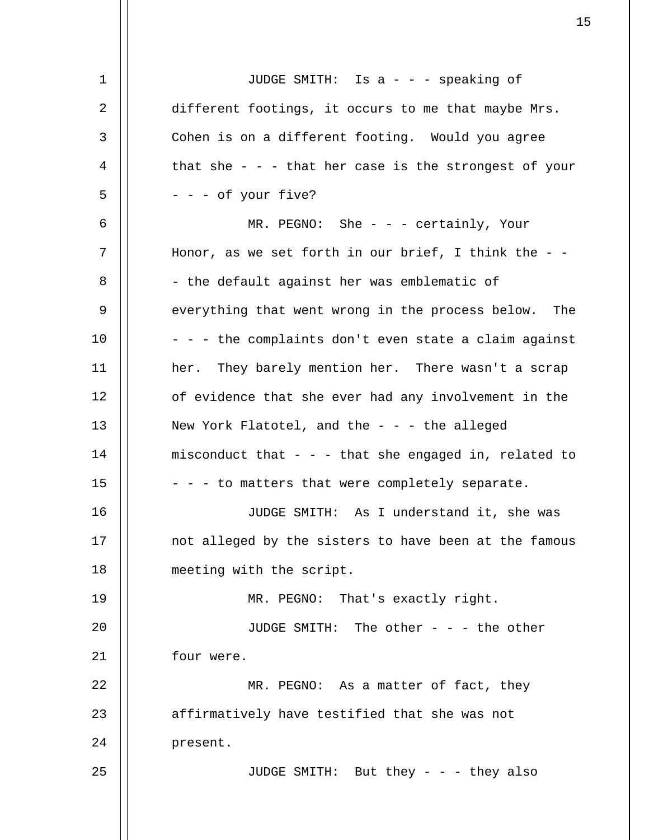| 1  | JUDGE SMITH: Is a - - - speaking of                       |
|----|-----------------------------------------------------------|
| 2  | different footings, it occurs to me that maybe Mrs.       |
| 3  | Cohen is on a different footing. Would you agree          |
| 4  | that she - - - that her case is the strongest of your     |
| 5  | - - - of your five?                                       |
| 6  | MR. PEGNO: She - - - certainly, Your                      |
| 7  | Honor, as we set forth in our brief, I think the $-$      |
| 8  | - the default against her was emblematic of               |
| 9  | everything that went wrong in the process below. The      |
| 10 | - - - the complaints don't even state a claim against     |
| 11 | her. They barely mention her. There wasn't a scrap        |
| 12 | of evidence that she ever had any involvement in the      |
| 13 | New York Flatotel, and the $-$ - $-$ the alleged          |
| 14 | misconduct that $-$ - $-$ that she engaged in, related to |
| 15 | - - - to matters that were completely separate.           |
| 16 | JUDGE SMITH: As I understand it, she was                  |
| 17 | not alleged by the sisters to have been at the famous     |
| 18 | meeting with the script.                                  |
| 19 | MR. PEGNO: That's exactly right.                          |
| 20 | JUDGE SMITH: The other - - - the other                    |
| 21 | four were.                                                |
| 22 | MR. PEGNO: As a matter of fact, they                      |
| 23 | affirmatively have testified that she was not             |
| 24 | present.                                                  |
| 25 | JUDGE SMITH: But they - - - they also                     |
|    |                                                           |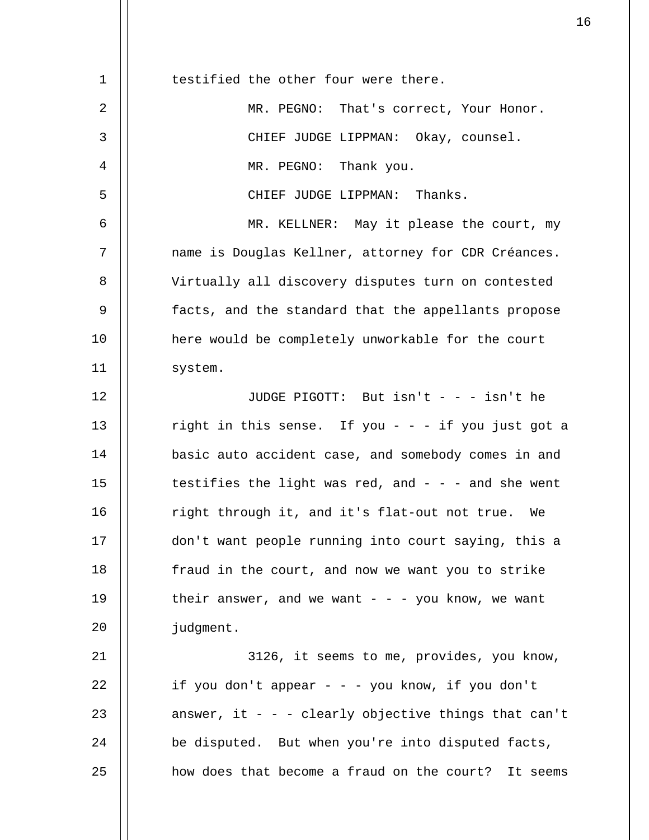| 1  | testified the other four were there.                    |
|----|---------------------------------------------------------|
| 2  | MR. PEGNO: That's correct, Your Honor.                  |
| 3  | CHIEF JUDGE LIPPMAN: Okay, counsel.                     |
| 4  | MR. PEGNO: Thank you.                                   |
| 5  | CHIEF JUDGE LIPPMAN: Thanks.                            |
| 6  | MR. KELLNER: May it please the court, my                |
| 7  | name is Douglas Kellner, attorney for CDR Créances.     |
| 8  | Virtually all discovery disputes turn on contested      |
| 9  | facts, and the standard that the appellants propose     |
| 10 | here would be completely unworkable for the court       |
| 11 | system.                                                 |
| 12 | JUDGE PIGOTT: But $isin't - - isn't$ he                 |
| 13 | right in this sense. If you - - - if you just got a     |
| 14 | basic auto accident case, and somebody comes in and     |
| 15 | testifies the light was red, and $-$ - $-$ and she went |
| 16 | right through it, and it's flat-out not true. We        |
| 17 | don't want people running into court saying, this a     |
| 18 | fraud in the court, and now we want you to strike       |
| 19 | their answer, and we want $-  -$ you know, we want      |
| 20 | judgment.                                               |
| 21 | 3126, it seems to me, provides, you know,               |
| 22 | if you don't appear - - - you know, if you don't        |
| 23 | answer, it - - - clearly objective things that can't    |
| 24 | be disputed. But when you're into disputed facts,       |
| 25 | how does that become a fraud on the court? It seems     |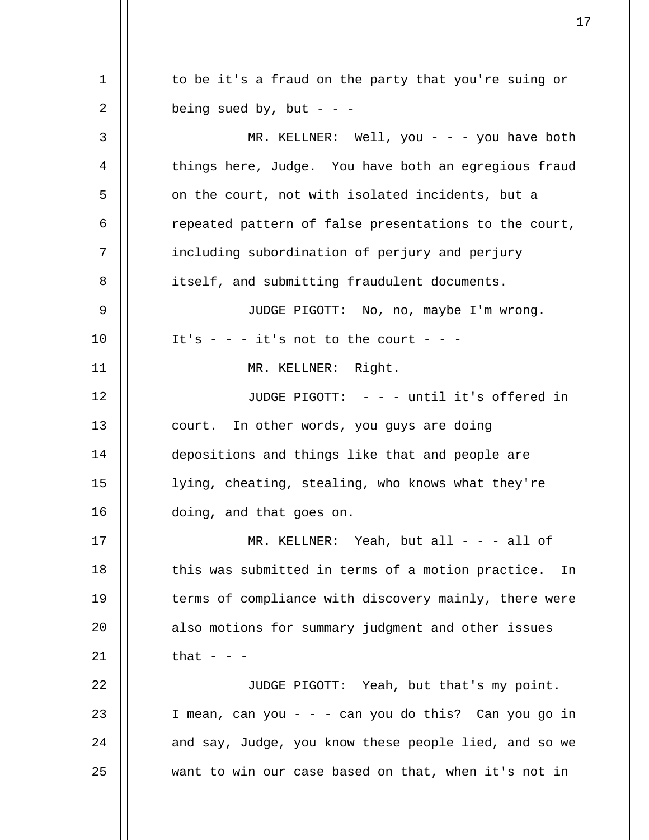1 2 3 4 5 6 7 8 9 10 11 12 13 14 15 16 17 18 19 20 21 22 23 24 25 to be it's a fraud on the party that you're suing or being sued by, but - - -MR. KELLNER: Well, you - - - you have both things here, Judge. You have both an egregious fraud on the court, not with isolated incidents, but a repeated pattern of false presentations to the court, including subordination of perjury and perjury itself, and submitting fraudulent documents. JUDGE PIGOTT: No, no, maybe I'm wrong. It's  $-$  -  $-$  it's not to the court  $-$  -MR. KELLNER: Right. JUDGE PIGOTT: - - - until it's offered in court. In other words, you guys are doing depositions and things like that and people are lying, cheating, stealing, who knows what they're doing, and that goes on. MR. KELLNER: Yeah, but all  $- - -$  all of this was submitted in terms of a motion practice. In terms of compliance with discovery mainly, there were also motions for summary judgment and other issues that  $- -$ JUDGE PIGOTT: Yeah, but that's my point. I mean, can you - - - can you do this? Can you go in and say, Judge, you know these people lied, and so we want to win our case based on that, when it's not in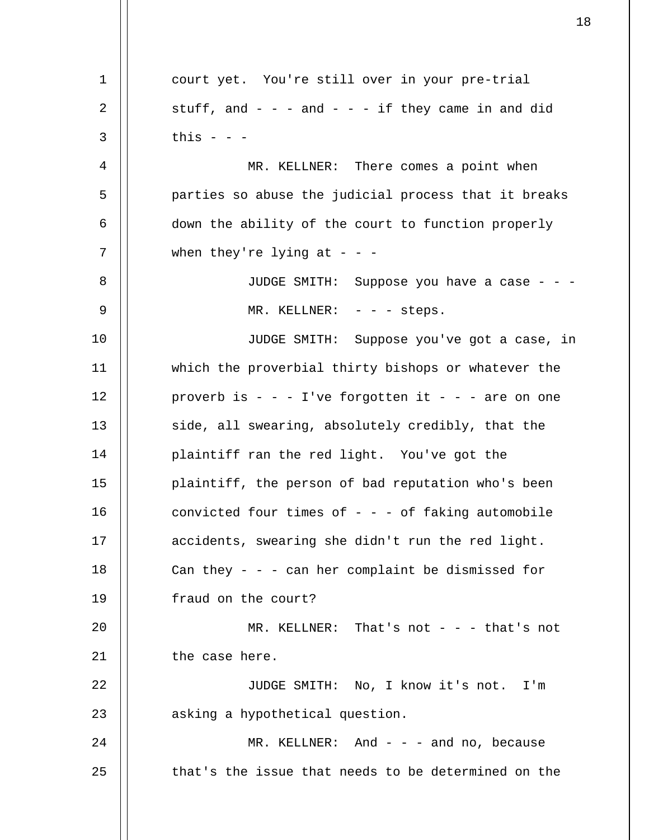1 2 3 4 5 6 7 8 9 10 11 12 13 14 15 16 17 18 19 20 21 22 23 24 25 court yet. You're still over in your pre-trial stuff, and  $-$  -  $-$  and  $-$  -  $-$  if they came in and did this  $-$ MR. KELLNER: There comes a point when parties so abuse the judicial process that it breaks down the ability of the court to function properly when they're lying at  $-$  -JUDGE SMITH: Suppose you have a case - - - MR. KELLNER: - - - steps. JUDGE SMITH: Suppose you've got a case, in which the proverbial thirty bishops or whatever the proverb is  $- - 1$ 've forgotten it  $- -$  are on one side, all swearing, absolutely credibly, that the plaintiff ran the red light. You've got the plaintiff, the person of bad reputation who's been convicted four times of  $-$  -  $-$  of faking automobile accidents, swearing she didn't run the red light. Can they  $-$  -  $-$  can her complaint be dismissed for fraud on the court? MR. KELLNER: That's not - - - that's not the case here. JUDGE SMITH: No, I know it's not. I'm asking a hypothetical question. MR. KELLNER: And  $-$  and no, because that's the issue that needs to be determined on the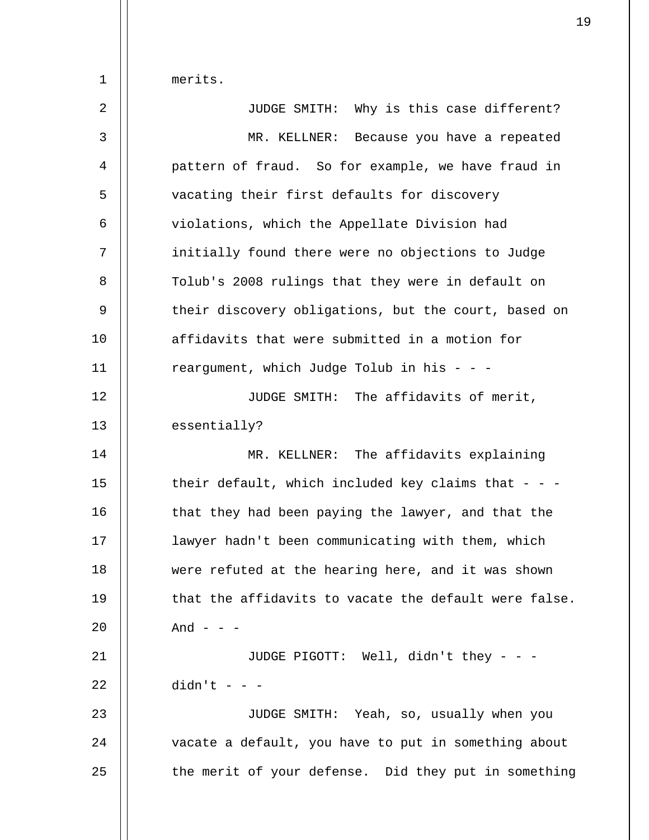merits.

1

| $\overline{2}$ | JUDGE SMITH: Why is this case different?              |
|----------------|-------------------------------------------------------|
| $\mathsf{3}$   | MR. KELLNER: Because you have a repeated              |
| 4              | pattern of fraud. So for example, we have fraud in    |
| 5              | vacating their first defaults for discovery           |
| 6              | violations, which the Appellate Division had          |
| 7              | initially found there were no objections to Judge     |
| 8              | Tolub's 2008 rulings that they were in default on     |
| 9              | their discovery obligations, but the court, based on  |
| 10             | affidavits that were submitted in a motion for        |
| 11             | reargument, which Judge Tolub in his - - -            |
| 12             | JUDGE SMITH: The affidavits of merit,                 |
| 13             | essentially?                                          |
| 14             | MR. KELLNER: The affidavits explaining                |
| 15             | their default, which included key claims that - - -   |
| 16             | that they had been paying the lawyer, and that the    |
| 17             | lawyer hadn't been communicating with them, which     |
| 18             | were refuted at the hearing here, and it was shown    |
| 19             | that the affidavits to vacate the default were false. |
| 20             | And $ -$                                              |
| 21             | JUDGE PIGOTT: Well, didn't they - - -                 |
| 22             | $didn't - -$                                          |
| 23             | JUDGE SMITH: Yeah, so, usually when you               |
| 24             | vacate a default, you have to put in something about  |
| 25             | the merit of your defense. Did they put in something  |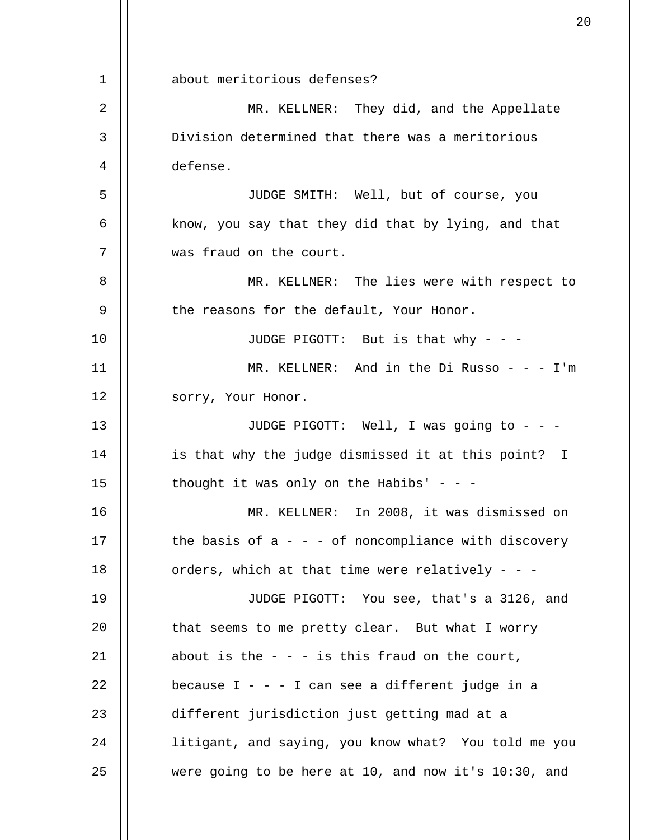1 2 3 4 5 6 7 8 9 10 11 12 13 14 15 16 17 18 19 20 21 22 23 24 25 about meritorious defenses? MR. KELLNER: They did, and the Appellate Division determined that there was a meritorious defense. JUDGE SMITH: Well, but of course, you know, you say that they did that by lying, and that was fraud on the court. MR. KELLNER: The lies were with respect to the reasons for the default, Your Honor. JUDGE PIGOTT: But is that why - - - MR. KELLNER: And in the Di Russo - - -  $I'm$ sorry, Your Honor. JUDGE PIGOTT: Well, I was going to - - is that why the judge dismissed it at this point? I thought it was only on the Habibs' - - -MR. KELLNER: In 2008, it was dismissed on the basis of  $a - - -$  of noncompliance with discovery orders, which at that time were relatively - - - JUDGE PIGOTT: You see, that's a 3126, and that seems to me pretty clear. But what I worry about is the  $-$  -  $-$  is this fraud on the court, because  $I - - I$  can see a different judge in a different jurisdiction just getting mad at a litigant, and saying, you know what? You told me you were going to be here at 10, and now it's 10:30, and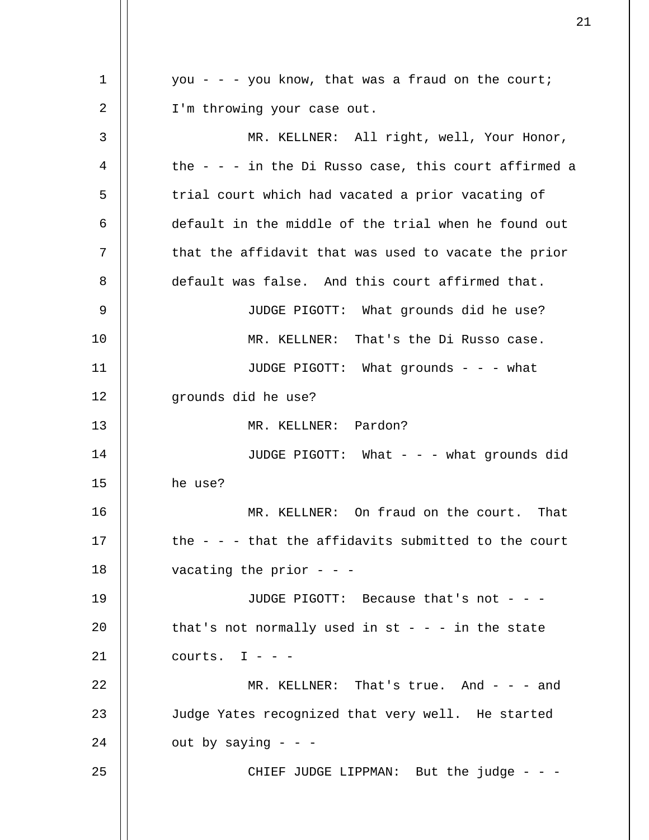1 2 3 4 5 6 7 8 9 10 11 12 13 14 15 16 17 18 19 20 21 22 23 24 25 you - - - you know, that was a fraud on the court; I'm throwing your case out. MR. KELLNER: All right, well, Your Honor, the - - - in the Di Russo case, this court affirmed a trial court which had vacated a prior vacating of default in the middle of the trial when he found out that the affidavit that was used to vacate the prior default was false. And this court affirmed that. JUDGE PIGOTT: What grounds did he use? MR. KELLNER: That's the Di Russo case. JUDGE PIGOTT: What grounds - - - what grounds did he use? MR. KELLNER: Pardon? JUDGE PIGOTT: What - - - what grounds did he use? MR. KELLNER: On fraud on the court. That the - - - that the affidavits submitted to the court vacating the prior  $-$  -  $-$ JUDGE PIGOTT: Because that's not - - that's not normally used in  $st - - -$  in the state courts.  $I - -$ MR. KELLNER: That's true. And - - - and Judge Yates recognized that very well. He started out by saying  $-$ CHIEF JUDGE LIPPMAN: But the judge - - -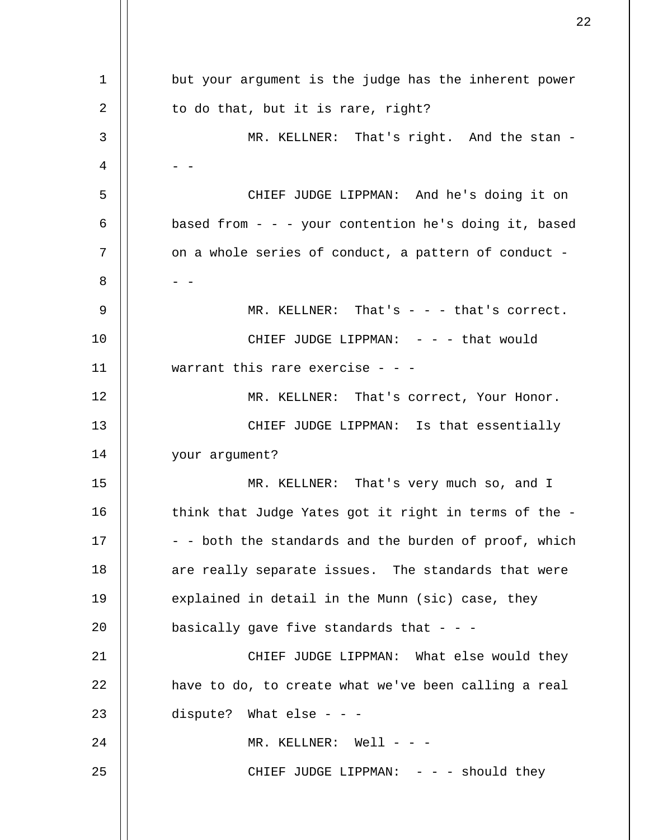| $\mathbf 1$ | but your argument is the judge has the inherent power |
|-------------|-------------------------------------------------------|
| 2           | to do that, but it is rare, right?                    |
| 3           | MR. KELLNER: That's right. And the stan -             |
| 4           |                                                       |
| 5           | CHIEF JUDGE LIPPMAN: And he's doing it on             |
| 6           | based from - - - your contention he's doing it, based |
| 7           | on a whole series of conduct, a pattern of conduct -  |
| 8           |                                                       |
| 9           | MR. KELLNER: That's - - - that's correct.             |
| 10          | CHIEF JUDGE LIPPMAN: $- -$ - that would               |
| 11          | warrant this rare exercise - - -                      |
| 12          | MR. KELLNER: That's correct, Your Honor.              |
| 13          | CHIEF JUDGE LIPPMAN: Is that essentially              |
| 14          | your argument?                                        |
| 15          | MR. KELLNER: That's very much so, and I               |
| 16          | think that Judge Yates got it right in terms of the - |
| 17          | - - both the standards and the burden of proof, which |
| 18          | are really separate issues. The standards that were   |
| 19          | explained in detail in the Munn (sic) case, they      |
| 20          | basically gave five standards that - - -              |
| 21          | CHIEF JUDGE LIPPMAN: What else would they             |
| 22          | have to do, to create what we've been calling a real  |
| 23          | dispute? What else - - -                              |
| 24          | MR. KELLNER: Well - - -                               |
| 25          | CHIEF JUDGE LIPPMAN: $-$ - $-$ should they            |
|             |                                                       |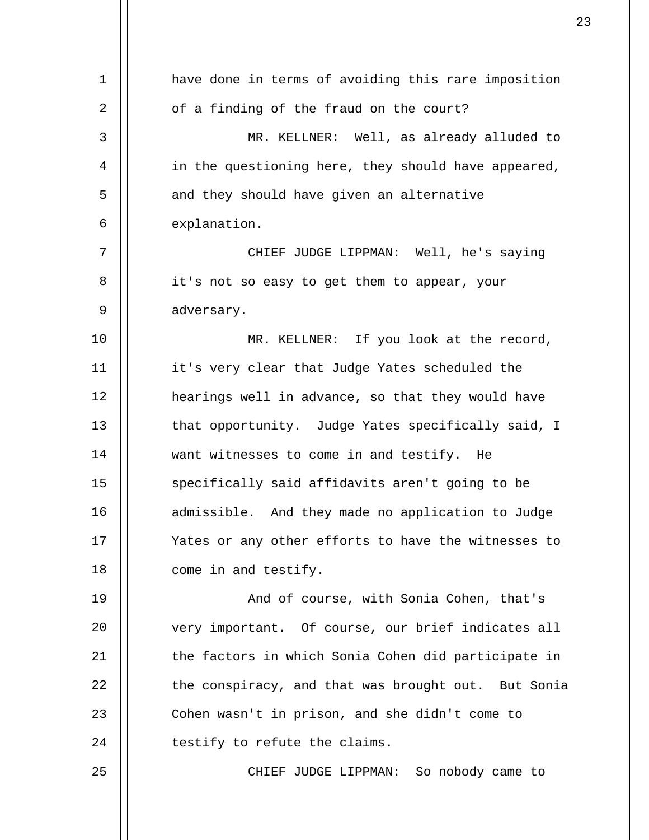| have done in terms of avoiding this rare imposition |
|-----------------------------------------------------|
| of a finding of the fraud on the court?             |
| MR. KELLNER: Well, as already alluded to            |
| in the questioning here, they should have appeared, |
| and they should have given an alternative           |
| explanation.                                        |
| CHIEF JUDGE LIPPMAN: Well, he's saying              |
| it's not so easy to get them to appear, your        |
| adversary.                                          |
| MR. KELLNER: If you look at the record,             |
| it's very clear that Judge Yates scheduled the      |
| hearings well in advance, so that they would have   |
| that opportunity. Judge Yates specifically said, I  |
| want witnesses to come in and testify. He           |
| specifically said affidavits aren't going to be     |
| admissible. And they made no application to Judge   |
| Yates or any other efforts to have the witnesses to |
| come in and testify.                                |
| And of course, with Sonia Cohen, that's             |
| very important. Of course, our brief indicates all  |
| the factors in which Sonia Cohen did participate in |
| the conspiracy, and that was brought out. But Sonia |
| Cohen wasn't in prison, and she didn't come to      |
| testify to refute the claims.                       |
| CHIEF JUDGE LIPPMAN: So nobody came to              |
|                                                     |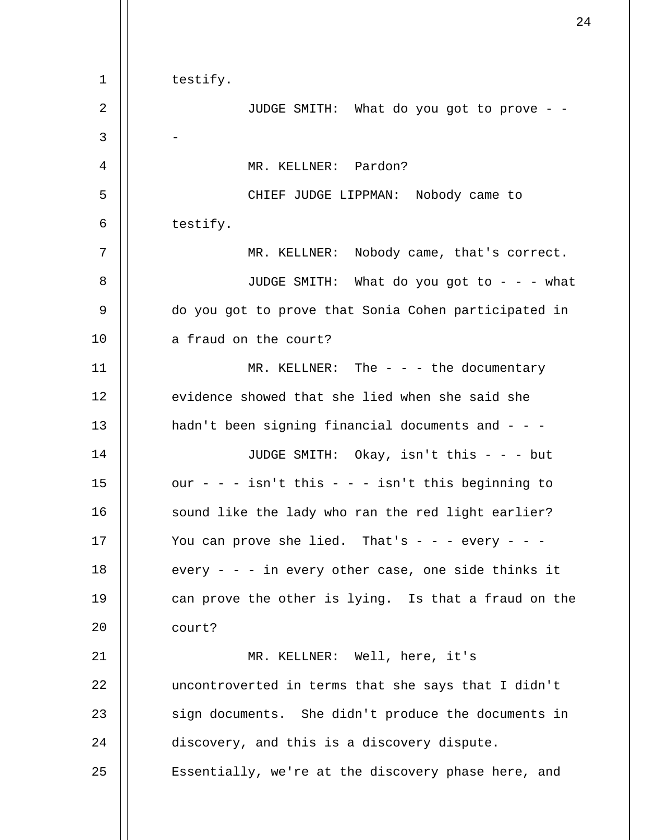| $\mathbf 1$    | testify.                                             |
|----------------|------------------------------------------------------|
| $\overline{2}$ | JUDGE SMITH: What do you got to prove - -            |
| 3              |                                                      |
| 4              | MR. KELLNER: Pardon?                                 |
| 5              | CHIEF JUDGE LIPPMAN: Nobody came to                  |
| 6              | testify.                                             |
| 7              | MR. KELLNER: Nobody came, that's correct.            |
| 8              | JUDGE SMITH: What do you got to - - - what           |
| 9              | do you got to prove that Sonia Cohen participated in |
| 10             | a fraud on the court?                                |
| 11             | MR. KELLNER: The $-$ - $-$ the documentary           |
| 12             | evidence showed that she lied when she said she      |
| 13             | hadn't been signing financial documents and - - -    |
| 14             | JUDGE SMITH: Okay, isn't this - - - but              |
| 15             | our - - - isn't this - - - isn't this beginning to   |
| 16             | sound like the lady who ran the red light earlier?   |
| 17             | You can prove she lied. That's - - - every -         |
| 18             | every - - - in every other case, one side thinks it  |
| 19             | can prove the other is lying. Is that a fraud on the |
| 20             | court?                                               |
| 21             | MR. KELLNER: Well, here, it's                        |
| 22             | uncontroverted in terms that she says that I didn't  |
| 23             | sign documents. She didn't produce the documents in  |
| 24             | discovery, and this is a discovery dispute.          |
| 25             | Essentially, we're at the discovery phase here, and  |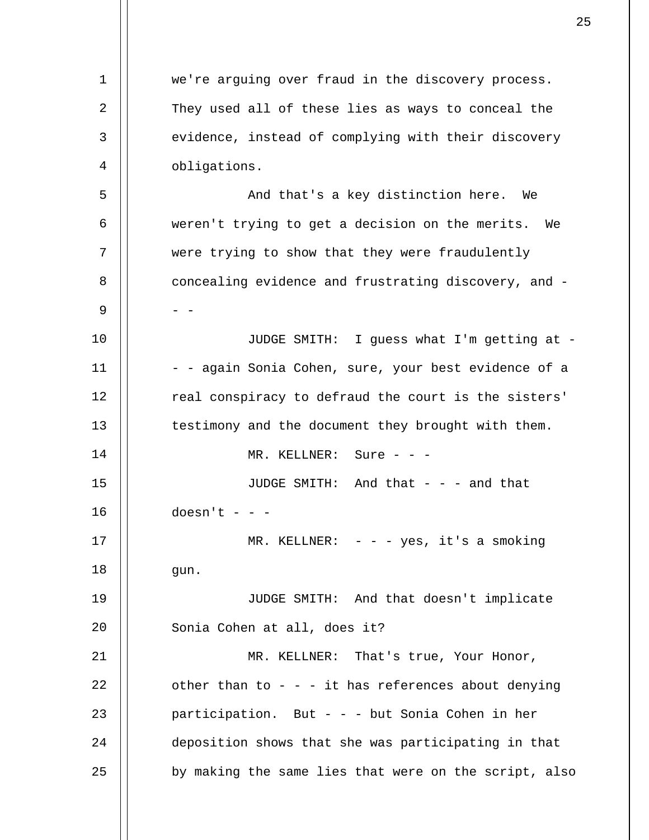1 2 3 4 5 6 7 8 9 10 11 12 13 14 15 16 17 18 19 20 21 22 23 24 25 we're arguing over fraud in the discovery process. They used all of these lies as ways to conceal the evidence, instead of complying with their discovery obligations. And that's a key distinction here. We weren't trying to get a decision on the merits. We were trying to show that they were fraudulently concealing evidence and frustrating discovery, and -  $-$ JUDGE SMITH: I guess what I'm getting at - - - again Sonia Cohen, sure, your best evidence of a real conspiracy to defraud the court is the sisters' testimony and the document they brought with them. MR. KELLNER: Sure - - -JUDGE SMITH: And that  $-$  and that  $doesn't - -$ MR. KELLNER:  $- -$  yes, it's a smoking gun. JUDGE SMITH: And that doesn't implicate Sonia Cohen at all, does it? MR. KELLNER: That's true, Your Honor, other than to  $-$  -  $-$  it has references about denying participation. But - - - but Sonia Cohen in her deposition shows that she was participating in that by making the same lies that were on the script, also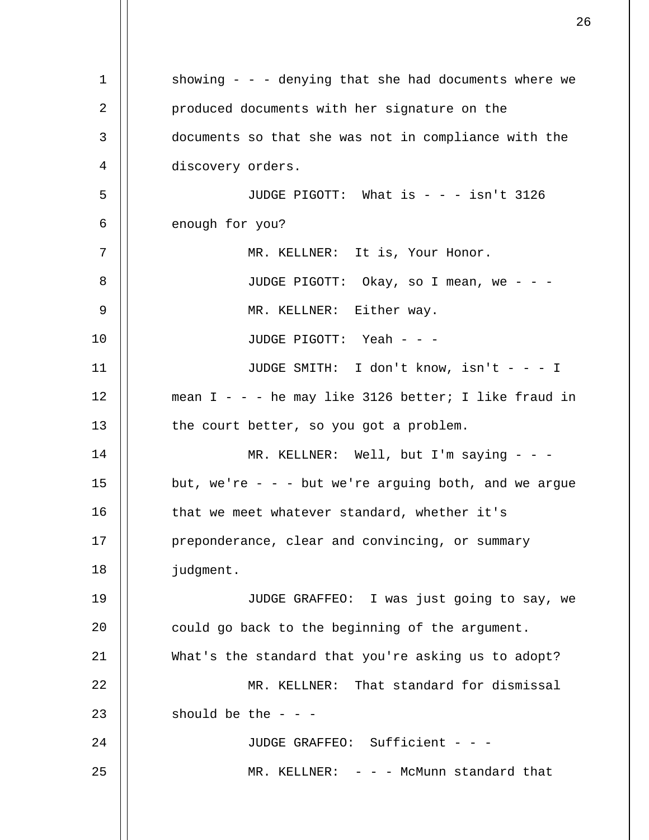1 2 3 4 5 6 7 8 9 10 11 12 13 14 15 16 17 18 19 20 21 22 23 24 25 showing - - - denying that she had documents where we produced documents with her signature on the documents so that she was not in compliance with the discovery orders. JUDGE PIGOTT: What is - - - isn't 3126 enough for you? MR. KELLNER: It is, Your Honor. JUDGE PIGOTT: Okay, so I mean, we - - - MR. KELLNER: Either way. JUDGE PIGOTT: Yeah - - - JUDGE SMITH: I don't know, isn't - - - I mean  $I - -$  he may like 3126 better; I like fraud in the court better, so you got a problem. MR. KELLNER: Well, but I'm saying - - but, we're  $-$  -  $-$  but we're arguing both, and we argue that we meet whatever standard, whether it's preponderance, clear and convincing, or summary judgment. JUDGE GRAFFEO: I was just going to say, we could go back to the beginning of the argument. What's the standard that you're asking us to adopt? MR. KELLNER: That standard for dismissal should be the  $-$ JUDGE GRAFFEO: Sufficient - - - $MR. KELLNER: - -$  - McMunn standard that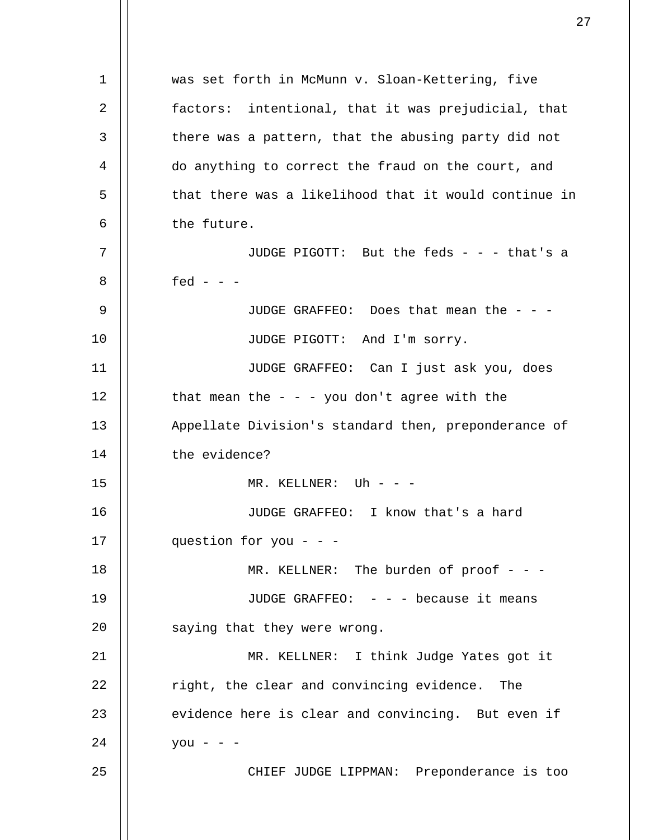1 2 3 4 5 6 7 8 9 10 11 12 13 14 15 16 17 18 19 20 21 22 23 24 25 was set forth in McMunn v. Sloan-Kettering, five factors: intentional, that it was prejudicial, that there was a pattern, that the abusing party did not do anything to correct the fraud on the court, and that there was a likelihood that it would continue in the future. JUDGE PIGOTT: But the feds - - - that's a fed -  $-$ JUDGE GRAFFEO: Does that mean the - - - JUDGE PIGOTT: And I'm sorry. JUDGE GRAFFEO: Can I just ask you, does that mean the  $-$  -  $-$  you don't agree with the Appellate Division's standard then, preponderance of the evidence? MR. KELLNER: Uh - - -JUDGE GRAFFEO: I know that's a hard question for you - - - MR. KELLNER: The burden of proof - - -JUDGE GRAFFEO: - - - because it means saying that they were wrong. MR. KELLNER: I think Judge Yates got it right, the clear and convincing evidence. The evidence here is clear and convincing. But even if  $you - -$ CHIEF JUDGE LIPPMAN: Preponderance is too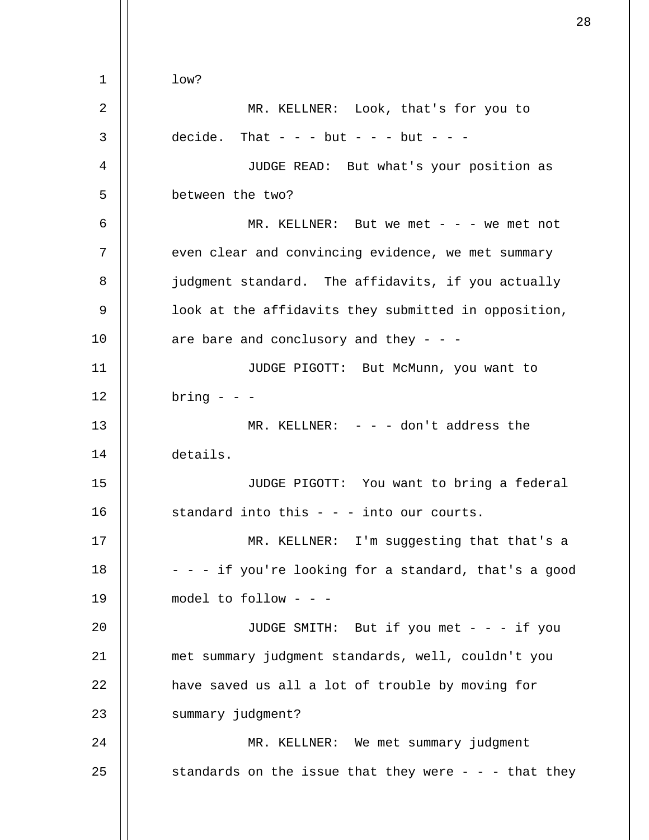1 2 3 4 5 6 7 8 9 10 11 12 13 14 15 16 17 18 19 20 21 22 23 24 25 low? MR. KELLNER: Look, that's for you to decide. That  $- -$  but  $- -$  but  $-$ JUDGE READ: But what's your position as between the two? MR. KELLNER: But we met  $- - -$  we met not even clear and convincing evidence, we met summary judgment standard. The affidavits, if you actually look at the affidavits they submitted in opposition, are bare and conclusory and they - - - JUDGE PIGOTT: But McMunn, you want to  $bring - - -$ MR. KELLNER:  $- -$  - don't address the details. JUDGE PIGOTT: You want to bring a federal standard into this  $- - i$  into our courts. MR. KELLNER: I'm suggesting that that's a - - - if you're looking for a standard, that's a good model to follow - - - JUDGE SMITH: But if you met - - - if you met summary judgment standards, well, couldn't you have saved us all a lot of trouble by moving for summary judgment? MR. KELLNER: We met summary judgment standards on the issue that they were  $-$  - - that they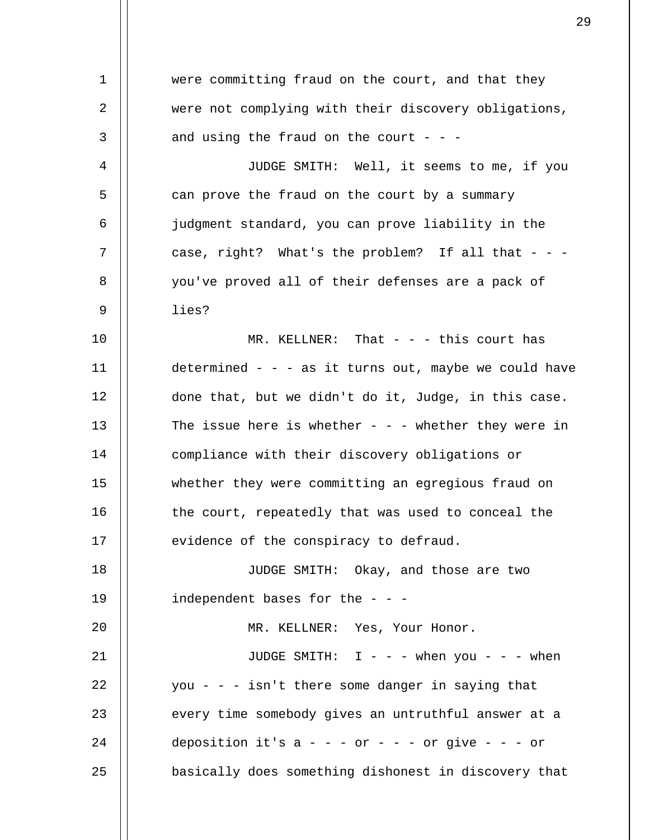1 2 3 4 5 6 7 8 9 10 11 12 13 14 15 16 17 18 19 20 21 22 23 24 25 were committing fraud on the court, and that they were not complying with their discovery obligations, and using the fraud on the court  $- -$ JUDGE SMITH: Well, it seems to me, if you can prove the fraud on the court by a summary judgment standard, you can prove liability in the case, right? What's the problem? If all that  $-$ you've proved all of their defenses are a pack of lies? MR. KELLNER: That  $-$  this court has determined - - - as it turns out, maybe we could have done that, but we didn't do it, Judge, in this case. The issue here is whether  $-$  -  $-$  whether they were in compliance with their discovery obligations or whether they were committing an egregious fraud on the court, repeatedly that was used to conceal the evidence of the conspiracy to defraud. JUDGE SMITH: Okay, and those are two independent bases for the  $-$  -  $-$ MR. KELLNER: Yes, Your Honor. JUDGE SMITH:  $I - - -$  when you - - - when you - - - isn't there some danger in saying that every time somebody gives an untruthful answer at a deposition it's  $a - - -$  or  $- -$  - or give  $- -$  - or basically does something dishonest in discovery that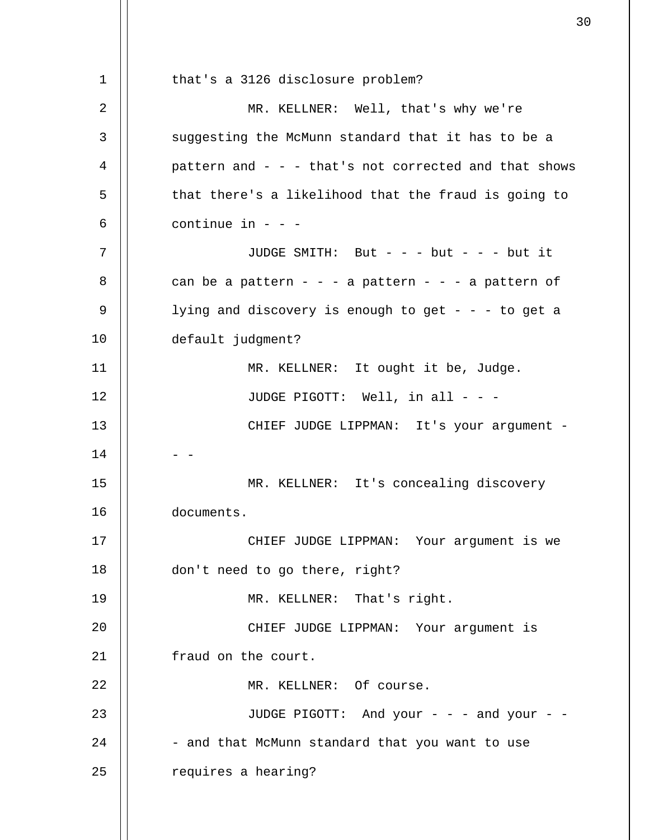1 2 3 4 5 6 7 8 9 10 11 12 13 14 15 16 17 18 19  $2.0$ 21 22 23 24 25 that's a 3126 disclosure problem? MR. KELLNER: Well, that's why we're suggesting the McMunn standard that it has to be a pattern and  $- - -$  that's not corrected and that shows that there's a likelihood that the fraud is going to continue in  $-$ JUDGE SMITH: But - - - but - - - but it can be a pattern - - - a pattern - - - a pattern of lying and discovery is enough to get  $- - -$  to get a default judgment? MR. KELLNER: It ought it be, Judge. JUDGE PIGOTT: Well, in all - - - CHIEF JUDGE LIPPMAN: It's your argument -  $-$ MR. KELLNER: It's concealing discovery documents. CHIEF JUDGE LIPPMAN: Your argument is we don't need to go there, right? MR. KELLNER: That's right. CHIEF JUDGE LIPPMAN: Your argument is fraud on the court. MR. KELLNER: Of course. JUDGE PIGOTT: And your - - - and your - - - and that McMunn standard that you want to use requires a hearing?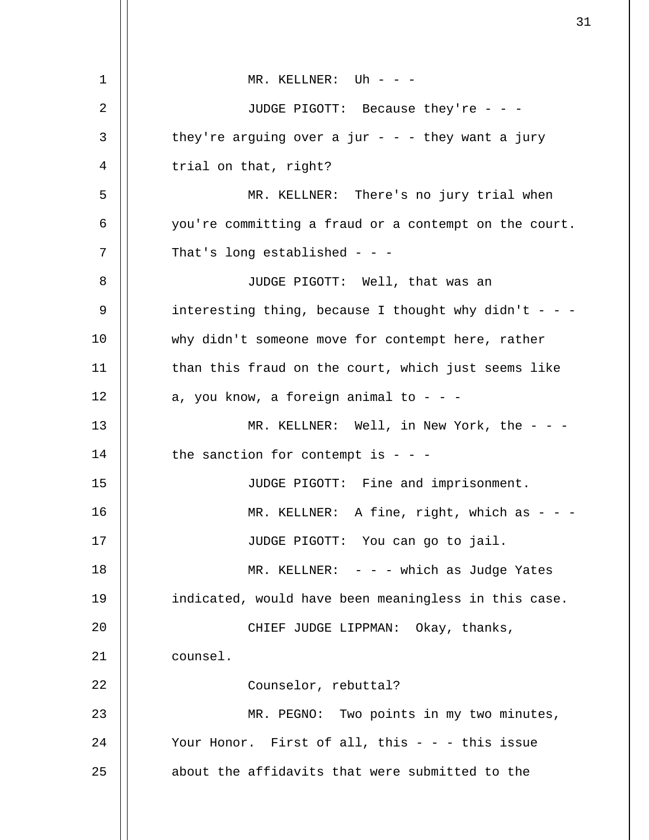| 1  | MR. KELLNER: Uh - - -                                 |
|----|-------------------------------------------------------|
| 2  | JUDGE PIGOTT: Because they're - - -                   |
| 3  | they're arguing over a jur - - - they want a jury     |
| 4  | trial on that, right?                                 |
| 5  | MR. KELLNER: There's no jury trial when               |
| 6  | you're committing a fraud or a contempt on the court. |
| 7  | That's long established - - -                         |
| 8  | JUDGE PIGOTT: Well, that was an                       |
| 9  | interesting thing, because I thought why didn't - - - |
| 10 | why didn't someone move for contempt here, rather     |
| 11 | than this fraud on the court, which just seems like   |
| 12 | a, you know, a foreign animal to - - -                |
| 13 | MR. KELLNER: Well, in New York, the $-$ -             |
| 14 | the sanction for contempt is - - -                    |
| 15 | JUDGE PIGOTT: Fine and imprisonment.                  |
| 16 | MR. KELLNER: A fine, right, which as $-$ -            |
| 17 | JUDGE PIGOTT: You can go to jail.                     |
| 18 | MR. KELLNER: $-  -$ which as Judge Yates              |
| 19 | indicated, would have been meaningless in this case.  |
| 20 | CHIEF JUDGE LIPPMAN: Okay, thanks,                    |
| 21 | counsel.                                              |
| 22 | Counselor, rebuttal?                                  |
| 23 | MR. PEGNO: Two points in my two minutes,              |
| 24 | Your Honor. First of all, this $- - -$ this issue     |
| 25 | about the affidavits that were submitted to the       |
|    |                                                       |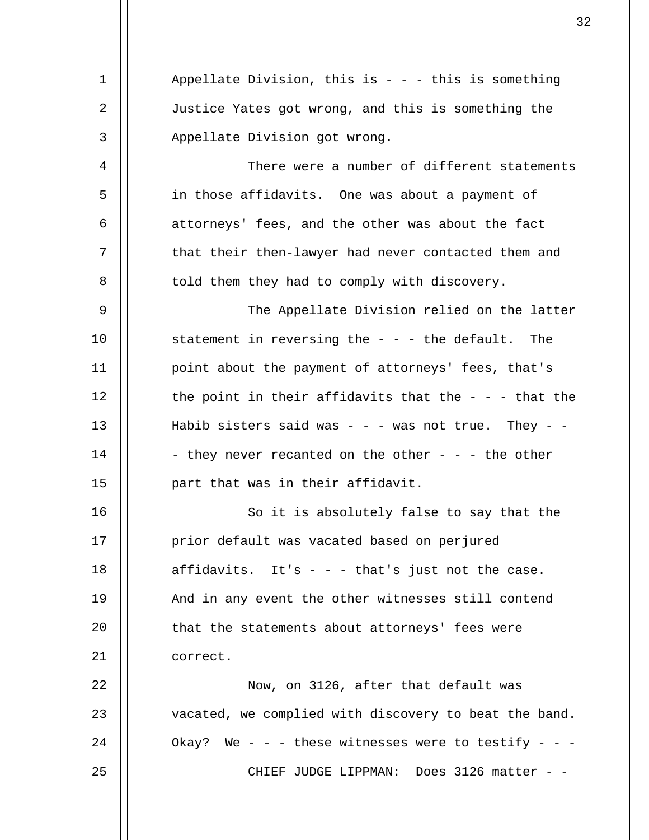1 2 3 4 5 6 7 8 9 10 11 12 13 14 15 16 17 18 19  $20^{\circ}$ 21 22 23 24 25 Appellate Division, this is  $- -$  - this is something Justice Yates got wrong, and this is something the Appellate Division got wrong. There were a number of different statements in those affidavits. One was about a payment of attorneys' fees, and the other was about the fact that their then-lawyer had never contacted them and told them they had to comply with discovery. The Appellate Division relied on the latter statement in reversing the  $-$  -  $-$  the default. The point about the payment of attorneys' fees, that's the point in their affidavits that the  $-$  -  $-$  that the Habib sisters said was - - - was not true. They - -- they never recanted on the other - - - the other part that was in their affidavit. So it is absolutely false to say that the prior default was vacated based on perjured affidavits. It's  $-$  -  $-$  that's just not the case. And in any event the other witnesses still contend that the statements about attorneys' fees were correct. Now, on 3126, after that default was vacated, we complied with discovery to beat the band. Okay? We - - - these witnesses were to testify - - -CHIEF JUDGE LIPPMAN: Does 3126 matter - -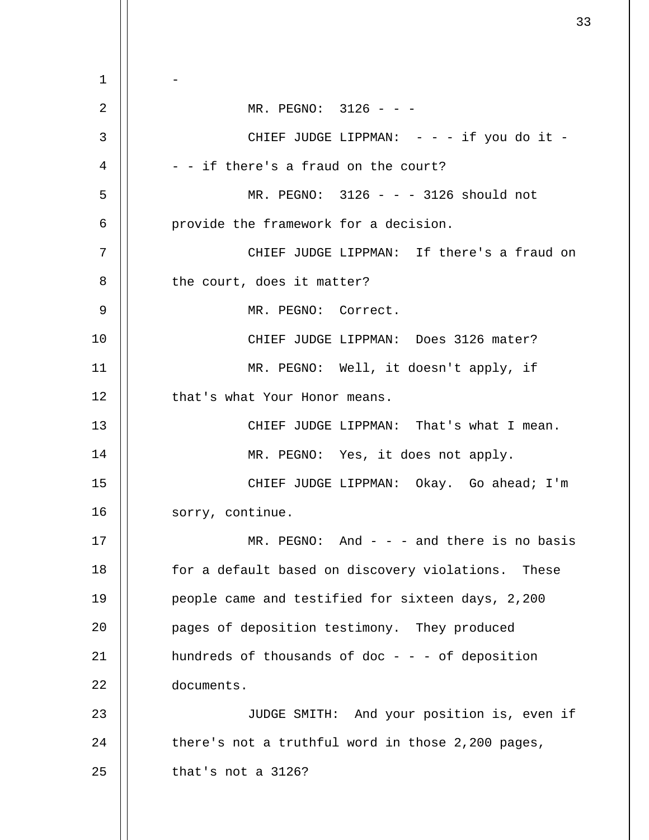1 2 3 4 5 6 7 8 9 10 11 12 13 14 15 16 17 18 19 20 21 22 23 24 25 -  $MR.$  PEGNO:  $3126 - -$ CHIEF JUDGE LIPPMAN:  $- - -$  if you do it -- - if there's a fraud on the court? MR. PEGNO: 3126 - - - 3126 should not provide the framework for a decision. CHIEF JUDGE LIPPMAN: If there's a fraud on the court, does it matter? MR. PEGNO: Correct. CHIEF JUDGE LIPPMAN: Does 3126 mater? MR. PEGNO: Well, it doesn't apply, if that's what Your Honor means. CHIEF JUDGE LIPPMAN: That's what I mean. MR. PEGNO: Yes, it does not apply. CHIEF JUDGE LIPPMAN: Okay. Go ahead; I'm sorry, continue.  $MR. PEGNO: And - - - and there is no basis$ for a default based on discovery violations. These people came and testified for sixteen days, 2,200 pages of deposition testimony. They produced hundreds of thousands of doc - - - of deposition documents. JUDGE SMITH: And your position is, even if there's not a truthful word in those 2,200 pages, that's not a 3126?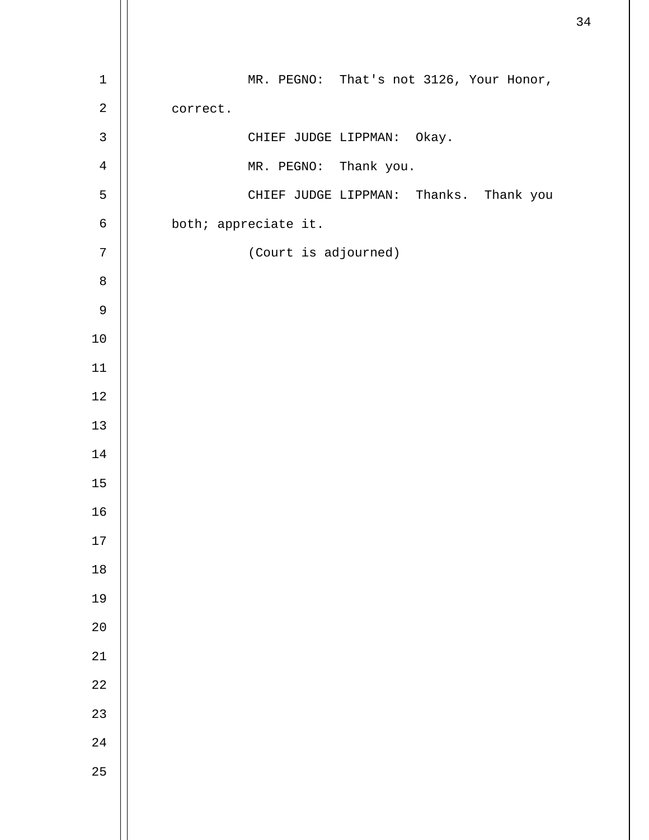| $\mathbf 1$  | MR. PEGNO: That's not 3126, Your Honor, |
|--------------|-----------------------------------------|
| $\sqrt{2}$   | correct.                                |
| $\mathsf{3}$ | CHIEF JUDGE LIPPMAN: Okay.              |
| $\,4$        | MR. PEGNO: Thank you.                   |
| 5            | CHIEF JUDGE LIPPMAN: Thanks. Thank you  |
| $\epsilon$   | both; appreciate it.                    |
| $\sqrt{ }$   | (Court is adjourned)                    |
| $\,8\,$      |                                         |
| $\mathsf 9$  |                                         |
| $10$         |                                         |
| $11\,$       |                                         |
| $1\,2$       |                                         |
| 13           |                                         |
| $14\,$       |                                         |
| 15           |                                         |
| 16           |                                         |
| $17\,$       |                                         |
| $18\,$       |                                         |
| 19           |                                         |
| $20$         |                                         |
| $2\sqrt{1}$  |                                         |
| $2\sqrt{2}$  |                                         |
| 23           |                                         |
| $2\sqrt{4}$  |                                         |
| 25           |                                         |
|              |                                         |